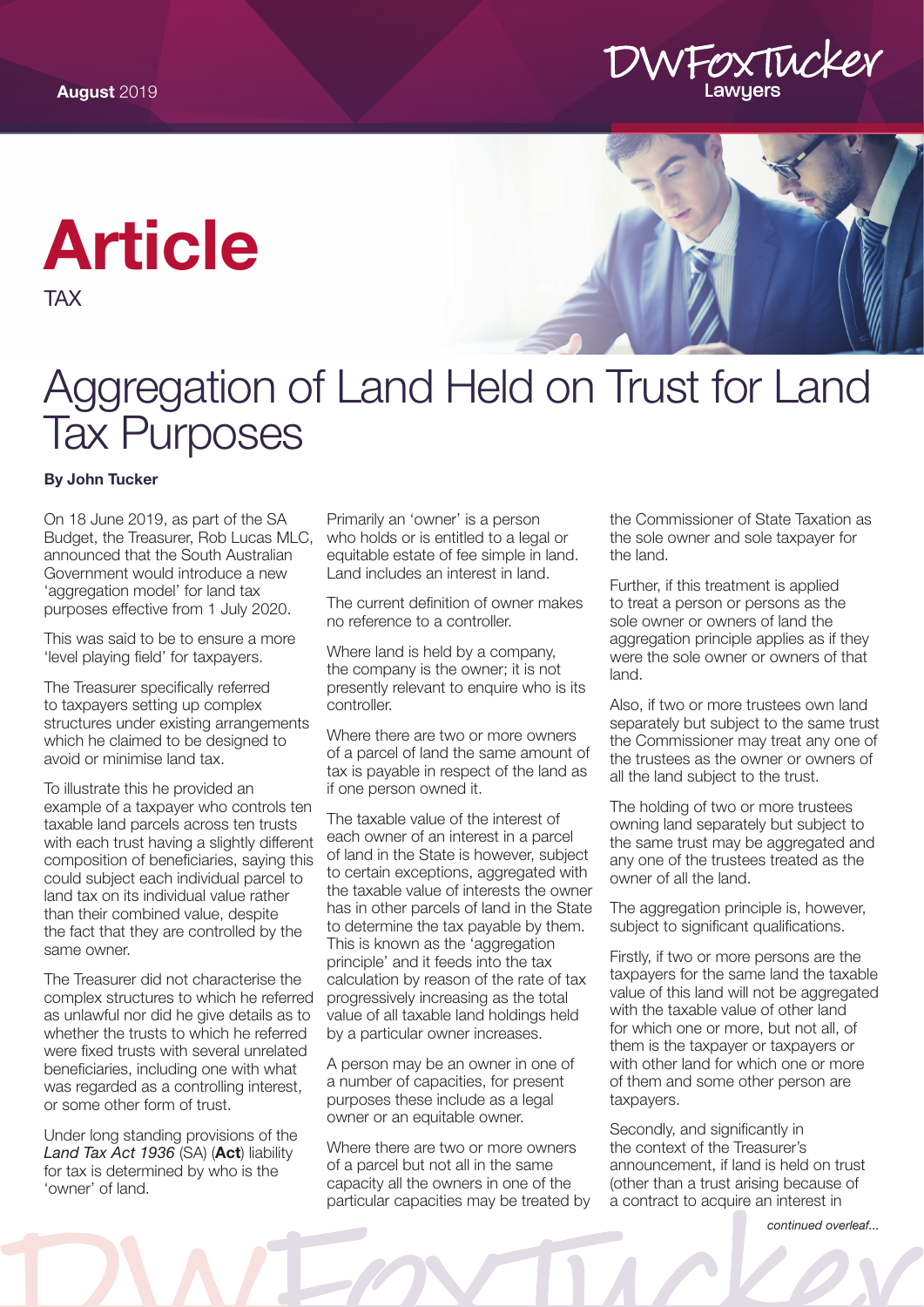

## [Article](https://www.dwfoxtucker.com.au/expertise/tax-lawyers/)

TAX



## Aggregation of Land Held on Trust for Land Tax Purposes

## By John Tucker

On 18 June 2019, as part of the SA Budget, the Treasurer, Rob Lucas MLC, announced that the South Australian Government would introduce a new 'aggregation model' for land tax purposes effective from 1 July 2020.

This was said to be to ensure a more 'level playing field' for taxpayers.

The Treasurer specifically referred to taxpayers setting up complex structures under existing arrangements which he claimed to be designed to avoid or minimise land tax.

To illustrate this he provided an example of a taxpayer who controls ten taxable land parcels across ten trusts with each trust having a slightly different composition of beneficiaries, saying this could subject each individual parcel to land tax on its individual value rather than their combined value, despite the fact that they are controlled by the same owner.

The Treasurer did not characterise the complex structures to which he referred as unlawful nor did he give details as to whether the trusts to which he referred were fixed trusts with several unrelated beneficiaries, including one with what was regarded as a controlling interest, or some other form of trust.

Under long standing provisions of the *Land Tax Act 1936* (SA) (Act) liability for tax is determined by who is the 'owner' of land.

Primarily an 'owner' is a person who holds or is entitled to a legal or equitable estate of fee simple in land. Land includes an interest in land.

The current definition of owner makes no reference to a controller.

Where land is held by a company, the company is the owner; it is not presently relevant to enquire who is its controller.

Where there are two or more owners of a parcel of land the same amount of tax is payable in respect of the land as if one person owned it.

The taxable value of the interest of each owner of an interest in a parcel of land in the State is however, subject to certain exceptions, aggregated with the taxable value of interests the owner has in other parcels of land in the State to determine the tax payable by them. This is known as the 'aggregation principle' and it feeds into the tax calculation by reason of the rate of tax progressively increasing as the total value of all taxable land holdings held by a particular owner increases.

A person may be an owner in one of a number of capacities, for present purposes these include as a legal owner or an equitable owner.

Where there are two or more owners of a parcel but not all in the same capacity all the owners in one of the particular capacities may be treated by

the Commissioner of State Taxation as the sole owner and sole taxpayer for the land.

Further, if this treatment is applied to treat a person or persons as the sole owner or owners of land the aggregation principle applies as if they were the sole owner or owners of that land.

Also, if two or more trustees own land separately but subject to the same trust the Commissioner may treat any one of the trustees as the owner or owners of all the land subject to the trust.

The holding of two or more trustees owning land separately but subject to the same trust may be aggregated and any one of the trustees treated as the owner of all the land.

The aggregation principle is, however, subject to significant qualifications.

Firstly, if two or more persons are the taxpayers for the same land the taxable value of this land will not be aggregated with the taxable value of other land for which one or more, but not all, of them is the taxpayer or taxpayers or with other land for which one or more of them and some other person are taxpayers.

Secondly, and significantly in the context of the Treasurer's announcement, if land is held on trust (other than a trust arising because of a contract to acquire an interest in

*continued overleaf...*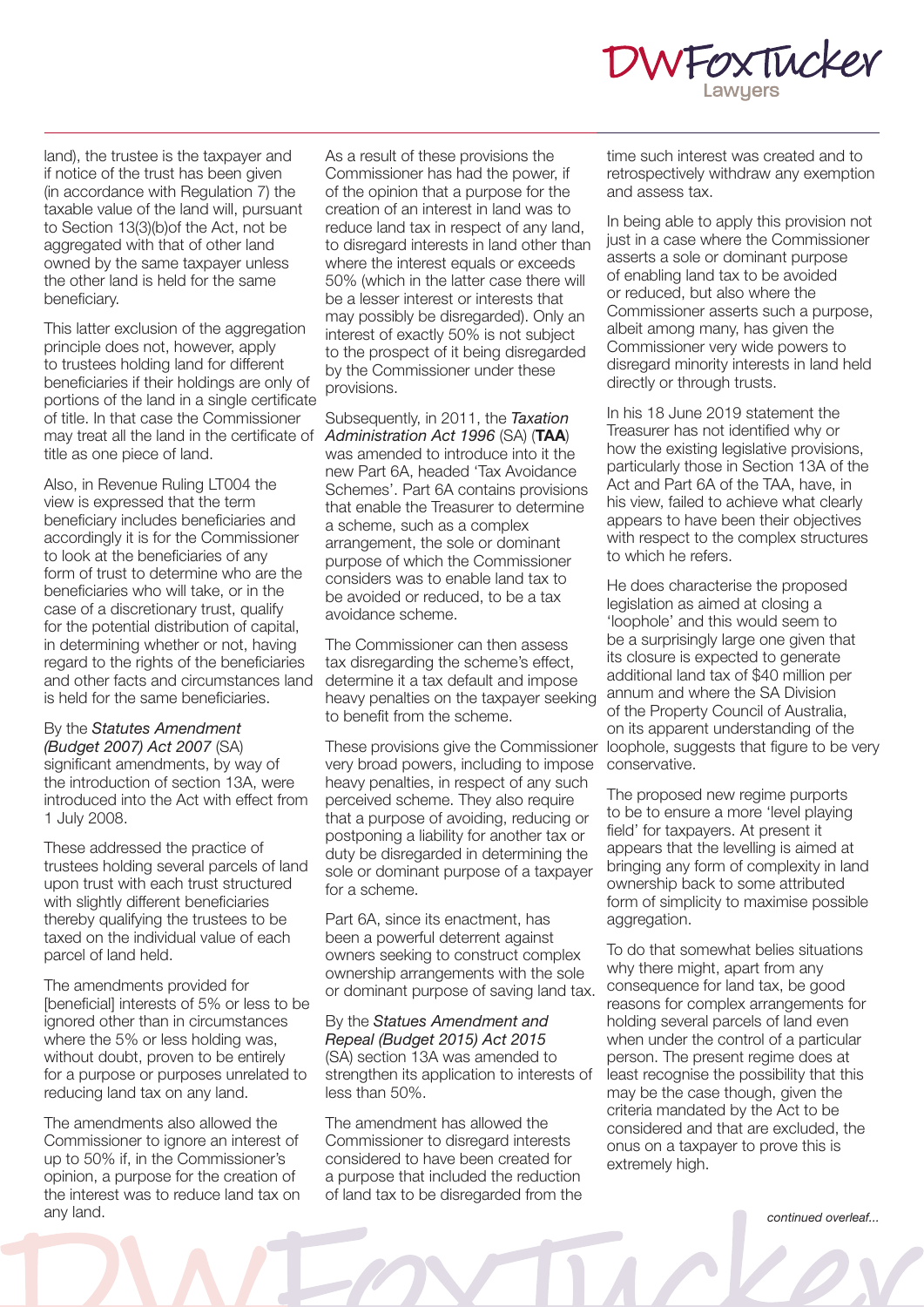

land), the trustee is the taxpayer and if notice of the trust has been given (in accordance with Regulation 7) the taxable value of the land will, pursuant to Section 13(3)(b)of the Act, not be aggregated with that of other land owned by the same taxpayer unless the other land is held for the same beneficiary.

This latter exclusion of the aggregation principle does not, however, apply to trustees holding land for different beneficiaries if their holdings are only of portions of the land in a single certificate of title. In that case the Commissioner may treat all the land in the certificate of *Administration Act 1996* (SA) (TAA) title as one piece of land.

Also, in Revenue Ruling LT004 the view is expressed that the term beneficiary includes beneficiaries and accordingly it is for the Commissioner to look at the beneficiaries of any form of trust to determine who are the beneficiaries who will take, or in the case of a discretionary trust, qualify for the potential distribution of capital, in determining whether or not, having regard to the rights of the beneficiaries and other facts and circumstances land is held for the same beneficiaries.

By the *Statutes Amendment (Budget 2007) Act 2007* (SA) significant amendments, by way of the introduction of section 13A, were introduced into the Act with effect from 1 July 2008.

These addressed the practice of trustees holding several parcels of land upon trust with each trust structured with slightly different beneficiaries thereby qualifying the trustees to be taxed on the individual value of each parcel of land held.

The amendments provided for [beneficial] interests of 5% or less to be ignored other than in circumstances where the 5% or less holding was, without doubt, proven to be entirely for a purpose or purposes unrelated to reducing land tax on any land.

The amendments also allowed the Commissioner to ignore an interest of up to 50% if, in the Commissioner's opinion, a purpose for the creation of the interest was to reduce land tax on any land.

As a result of these provisions the Commissioner has had the power, if of the opinion that a purpose for the creation of an interest in land was to reduce land tax in respect of any land, to disregard interests in land other than where the interest equals or exceeds 50% (which in the latter case there will be a lesser interest or interests that may possibly be disregarded). Only an interest of exactly 50% is not subject to the prospect of it being disregarded by the Commissioner under these provisions.

Subsequently, in 2011, the *Taxation*  was amended to introduce into it the new Part 6A, headed 'Tax Avoidance Schemes'. Part 6A contains provisions that enable the Treasurer to determine a scheme, such as a complex arrangement, the sole or dominant purpose of which the Commissioner considers was to enable land tax to be avoided or reduced, to be a tax avoidance scheme.

The Commissioner can then assess tax disregarding the scheme's effect, determine it a tax default and impose heavy penalties on the taxpayer seeking to benefit from the scheme.

These provisions give the Commissioner very broad powers, including to impose heavy penalties, in respect of any such perceived scheme. They also require that a purpose of avoiding, reducing or postponing a liability for another tax or duty be disregarded in determining the sole or dominant purpose of a taxpayer for a scheme.

Part 6A, since its enactment, has been a powerful deterrent against owners seeking to construct complex ownership arrangements with the sole or dominant purpose of saving land tax.

By the *Statues Amendment and Repeal (Budget 2015) Act 2015* (SA) section 13A was amended to strengthen its application to interests of less than 50%.

The amendment has allowed the Commissioner to disregard interests considered to have been created for a purpose that included the reduction of land tax to be disregarded from the time such interest was created and to retrospectively withdraw any exemption and assess tax.

In being able to apply this provision not just in a case where the Commissioner asserts a sole or dominant purpose of enabling land tax to be avoided or reduced, but also where the Commissioner asserts such a purpose, albeit among many, has given the Commissioner very wide powers to disregard minority interests in land held directly or through trusts.

In his 18 June 2019 statement the Treasurer has not identified why or how the existing legislative provisions, particularly those in Section 13A of the Act and Part 6A of the TAA, have, in his view, failed to achieve what clearly appears to have been their objectives with respect to the complex structures to which he refers.

He does characterise the proposed legislation as aimed at closing a 'loophole' and this would seem to be a surprisingly large one given that its closure is expected to generate additional land tax of \$40 million per annum and where the SA Division of the Property Council of Australia, on its apparent understanding of the loophole, suggests that figure to be very conservative.

The proposed new regime purports to be to ensure a more 'level playing field' for taxpayers. At present it appears that the levelling is aimed at bringing any form of complexity in land ownership back to some attributed form of simplicity to maximise possible aggregation.

To do that somewhat belies situations why there might, apart from any consequence for land tax, be good reasons for complex arrangements for holding several parcels of land even when under the control of a particular person. The present regime does at least recognise the possibility that this may be the case though, given the criteria mandated by the Act to be considered and that are excluded, the onus on a taxpayer to prove this is extremely high.

*continued overleaf...*